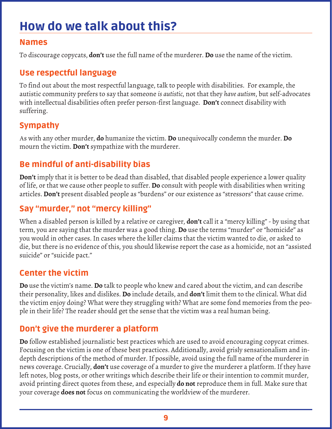# How do we talk about this?

#### Names

To discourage copycats, **don't** use the full name of the murderer. **Do** use the name of the victim.

### Use respectful language

To find out about the most respectful language, talk to people with disabilities. For example, the autistic community prefers to say that someone *is autistic*, not that they *have autism*, but self-advocates with intellectual disabilities often prefer person-first language. **Don't** connect disability with suffering.

### Sympathy

As with any other murder, **do** humanize the victim. **Do** unequivocally condemn the murder. **Do** mourn the victim. **Don't** sympathize with the murderer.

### Be mindful of anti-disability bias

**Don't** imply that it is better to be dead than disabled, that disabled people experience a lower quality of life, or that we cause other people to suffer. **Do** consult with people with disabilities when writing articles. **Don't** present disabled people as "burdens" or our existence as "stressors" that cause crime.

## Say "murder," not "mercy killing"

When a disabled person is killed by a relative or caregiver, **don't** call it a "mercy killing" - by using that term, you are saying that the murder was a good thing. **Do** use the terms "murder" or "homicide" as you would in other cases. In cases where the killer claims that the victim wanted to die, or asked to die, but there is no evidence of this, you should likewise report the case as a homicide, not an "assisted suicide" or "suicide pact."

### Center the victim

**Do** use the victim's name. **Do** talk to people who knew and cared about the victim, and can describe their personality, likes and dislikes. **Do** include details, and **don't** limit them to the clinical. What did the victim enjoy doing? What were they struggling with? What are some fond memories from the people in their life? The reader should get the sense that the victim was a real human being.

## Don't give the murderer a platform

**Do** follow established journalistic best practices which are used to avoid encouraging copycat crimes. Focusing on the victim is one of these best practices. Additionally, avoid grisly sensationalism and indepth descriptions of the method of murder. If possible, avoid using the full name of the murderer in news coverage. Crucially, **don't** use coverage of a murder to give the murderer a platform. If they have left notes, blog posts, or other writings which describe their life or their intention to commit murder, avoid printing direct quotes from these, and especially **do not** reproduce them in full. Make sure that your coverage **does not** focus on communicating the worldview of the murderer.